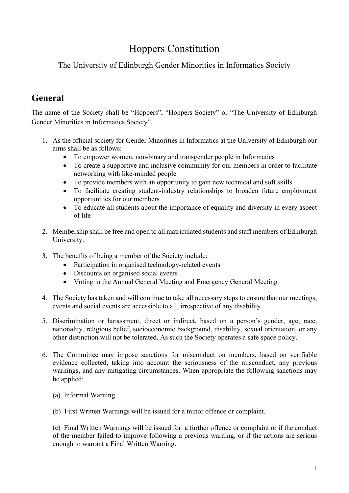# Hoppers Constitution

The University of Edinburgh Gender Minorities in Informatics Society

## **General**

The name of the Society shall be "Hoppers", "Hoppers Society" or "The University of Edinburgh Gender Minorities in Informatics Society".

- 1. As the official society for Gender Minorities in Informatics at the University of Edinburgh our aims shall be as follows:
	- To empower women, non-binary and transgender people in Informatics
	- To create a supportive and inclusive community for our members in order to facilitate networking with like-minded people
	- To provide members with an opportunity to gain new technical and soft skills
	- To facilitate creating student-industry relationships to broaden future employment opportunities for our members
	- To educate all students about the importance of equality and diversity in every aspect of life
- 2. Membership shall be free and open to all matriculated students and staff members of Edinburgh University.
- 3. The benefits of being a member of the Society include:
	- Participation in organised technology-related events
	- Discounts on organised social events
	- Voting in the Annual General Meeting and Emergency General Meeting
- 4. The Society has taken and will continue to take all necessary steps to ensure that our meetings, events and social events are accessible to all, irrespective of any disability.
- 5. Discrimination or harassment, direct or indirect, based on a person's gender, age, race, nationality, religious belief, socioeconomic background, disability, sexual orientation, or any other distinction will not be tolerated. As such the Society operates a safe space policy.
- 6. The Committee may impose sanctions for misconduct on members, based on verifiable evidence collected, taking into account the seriousness of the misconduct, any previous warnings, and any mitigating circumstances. When appropriate the following sanctions may be applied:
	- (a) Informal Warning
	- (b) First Written Warnings will be issued for a minor offence or complaint.

(c) Final Written Warnings will be issued for: a further offence or complaint or if the conduct of the member failed to improve following a previous warning, or if the actions are serious enough to warrant a Final Written Warning.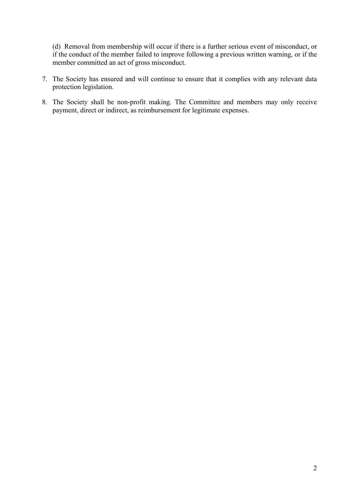(d) Removal from membership will occur if there is a further serious event of misconduct, or if the conduct of the member failed to improve following a previous written warning, or if the member committed an act of gross misconduct.

- 7. The Society has ensured and will continue to ensure that it complies with any relevant data protection legislation.
- 8. The Society shall be non-profit making. The Committee and members may only receive payment, direct or indirect, as reimbursement for legitimate expenses.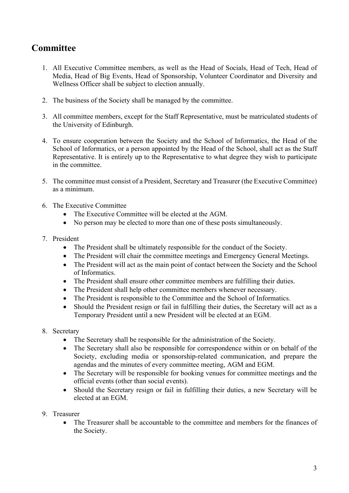#### **Committee**

- 1. All Executive Committee members, as well as the Head of Socials, Head of Tech, Head of Media, Head of Big Events, Head of Sponsorship, Volunteer Coordinator and Diversity and Wellness Officer shall be subject to election annually.
- 2. The business of the Society shall be managed by the committee.
- 3. All committee members, except for the Staff Representative, must be matriculated students of the University of Edinburgh.
- 4. To ensure cooperation between the Society and the School of Informatics, the Head of the School of Informatics, or a person appointed by the Head of the School, shall act as the Staff Representative. It is entirely up to the Representative to what degree they wish to participate in the committee.
- 5. The committee must consist of a President, Secretary and Treasurer (the Executive Committee) as a minimum.
- 6. The Executive Committee
	- The Executive Committee will be elected at the AGM.
	- No person may be elected to more than one of these posts simultaneously.

#### 7. President

- The President shall be ultimately responsible for the conduct of the Society.
- The President will chair the committee meetings and Emergency General Meetings.
- The President will act as the main point of contact between the Society and the School of Informatics.
- The President shall ensure other committee members are fulfilling their duties.
- The President shall help other committee members whenever necessary.
- The President is responsible to the Committee and the School of Informatics.
- Should the President resign or fail in fulfilling their duties, the Secretary will act as a Temporary President until a new President will be elected at an EGM.
- 8. Secretary
	- The Secretary shall be responsible for the administration of the Society.
	- The Secretary shall also be responsible for correspondence within or on behalf of the Society, excluding media or sponsorship-related communication, and prepare the agendas and the minutes of every committee meeting, AGM and EGM.
	- The Secretary will be responsible for booking venues for committee meetings and the official events (other than social events).
	- Should the Secretary resign or fail in fulfilling their duties, a new Secretary will be elected at an EGM.
- 9. Treasurer
	- The Treasurer shall be accountable to the committee and members for the finances of the Society.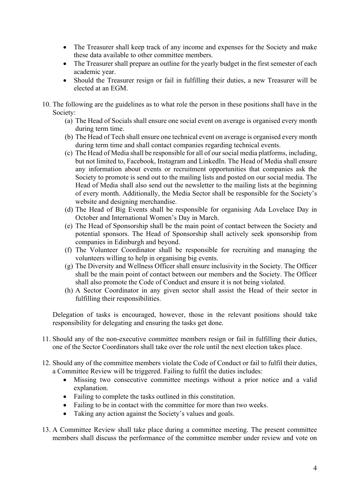- The Treasurer shall keep track of any income and expenses for the Society and make these data available to other committee members.
- The Treasurer shall prepare an outline for the yearly budget in the first semester of each academic year.
- Should the Treasurer resign or fail in fulfilling their duties, a new Treasurer will be elected at an EGM.
- 10. The following are the guidelines as to what role the person in these positions shall have in the Society:
	- (a) The Head of Socials shall ensure one social event on average is organised every month during term time.
	- (b) The Head of Tech shall ensure one technical event on average is organised every month during term time and shall contact companies regarding technical events.
	- (c) The Head of Media shall be responsible for all of our social media platforms, including, but not limited to, Facebook, Instagram and LinkedIn. The Head of Media shall ensure any information about events or recruitment opportunities that companies ask the Society to promote is send out to the mailing lists and posted on our social media. The Head of Media shall also send out the newsletter to the mailing lists at the beginning of every month. Additionally, the Media Sector shall be responsible for the Society's website and designing merchandise.
	- (d) The Head of Big Events shall be responsible for organising Ada Lovelace Day in October and International Women's Day in March.
	- (e) The Head of Sponsorship shall be the main point of contact between the Society and potential sponsors. The Head of Sponsorship shall actively seek sponsorship from companies in Edinburgh and beyond.
	- (f) The Volunteer Coordinator shall be responsible for recruiting and managing the volunteers willing to help in organising big events.
	- (g) The Diversity and Wellness Officer shall ensure inclusivity in the Society. The Officer shall be the main point of contact between our members and the Society. The Officer shall also promote the Code of Conduct and ensure it is not being violated.
	- (h) A Sector Coordinator in any given sector shall assist the Head of their sector in fulfilling their responsibilities.

Delegation of tasks is encouraged, however, those in the relevant positions should take responsibility for delegating and ensuring the tasks get done.

- 11. Should any of the non-executive committee members resign or fail in fulfilling their duties, one of the Sector Coordinators shall take over the role until the next election takes place.
- 12. Should any of the committee members violate the Code of Conduct or fail to fulfil their duties, a Committee Review will be triggered. Failing to fulfil the duties includes:
	- Missing two consecutive committee meetings without a prior notice and a valid explanation.
	- Failing to complete the tasks outlined in this constitution.
	- Failing to be in contact with the committee for more than two weeks.
	- Taking any action against the Society's values and goals.
- 13. A Committee Review shall take place during a committee meeting. The present committee members shall discuss the performance of the committee member under review and vote on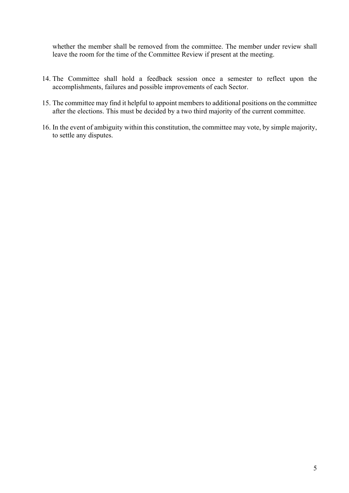whether the member shall be removed from the committee. The member under review shall leave the room for the time of the Committee Review if present at the meeting.

- 14. The Committee shall hold a feedback session once a semester to reflect upon the accomplishments, failures and possible improvements of each Sector.
- 15. The committee may find it helpful to appoint members to additional positions on the committee after the elections. This must be decided by a two third majority of the current committee.
- 16. In the event of ambiguity within this constitution, the committee may vote, by simple majority, to settle any disputes.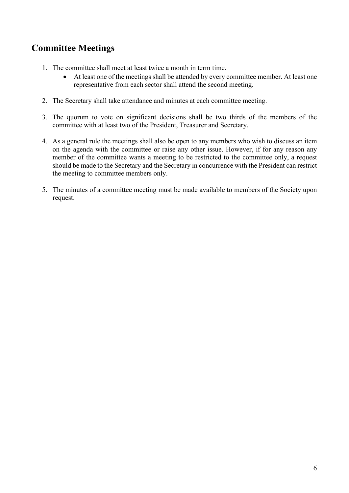### **Committee Meetings**

- 1. The committee shall meet at least twice a month in term time.
	- At least one of the meetings shall be attended by every committee member. At least one representative from each sector shall attend the second meeting.
- 2. The Secretary shall take attendance and minutes at each committee meeting.
- 3. The quorum to vote on significant decisions shall be two thirds of the members of the committee with at least two of the President, Treasurer and Secretary.
- 4. As a general rule the meetings shall also be open to any members who wish to discuss an item on the agenda with the committee or raise any other issue. However, if for any reason any member of the committee wants a meeting to be restricted to the committee only, a request should be made to the Secretary and the Secretary in concurrence with the President can restrict the meeting to committee members only.
- 5. The minutes of a committee meeting must be made available to members of the Society upon request.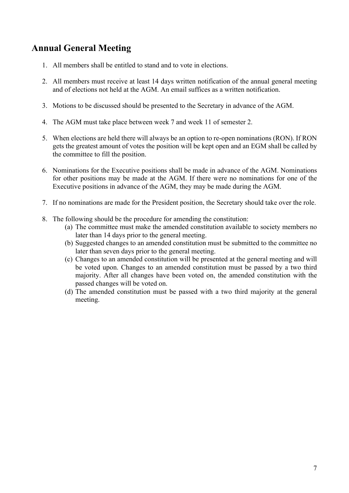### **Annual General Meeting**

- 1. All members shall be entitled to stand and to vote in elections.
- 2. All members must receive at least 14 days written notification of the annual general meeting and of elections not held at the AGM. An email suffices as a written notification.
- 3. Motions to be discussed should be presented to the Secretary in advance of the AGM.
- 4. The AGM must take place between week 7 and week 11 of semester 2.
- 5. When elections are held there will always be an option to re-open nominations (RON). If RON gets the greatest amount of votes the position will be kept open and an EGM shall be called by the committee to fill the position.
- 6. Nominations for the Executive positions shall be made in advance of the AGM. Nominations for other positions may be made at the AGM. If there were no nominations for one of the Executive positions in advance of the AGM, they may be made during the AGM.
- 7. If no nominations are made for the President position, the Secretary should take over the role.
- 8. The following should be the procedure for amending the constitution:
	- (a) The committee must make the amended constitution available to society members no later than 14 days prior to the general meeting.
	- (b) Suggested changes to an amended constitution must be submitted to the committee no later than seven days prior to the general meeting.
	- (c) Changes to an amended constitution will be presented at the general meeting and will be voted upon. Changes to an amended constitution must be passed by a two third majority. After all changes have been voted on, the amended constitution with the passed changes will be voted on.
	- (d) The amended constitution must be passed with a two third majority at the general meeting.